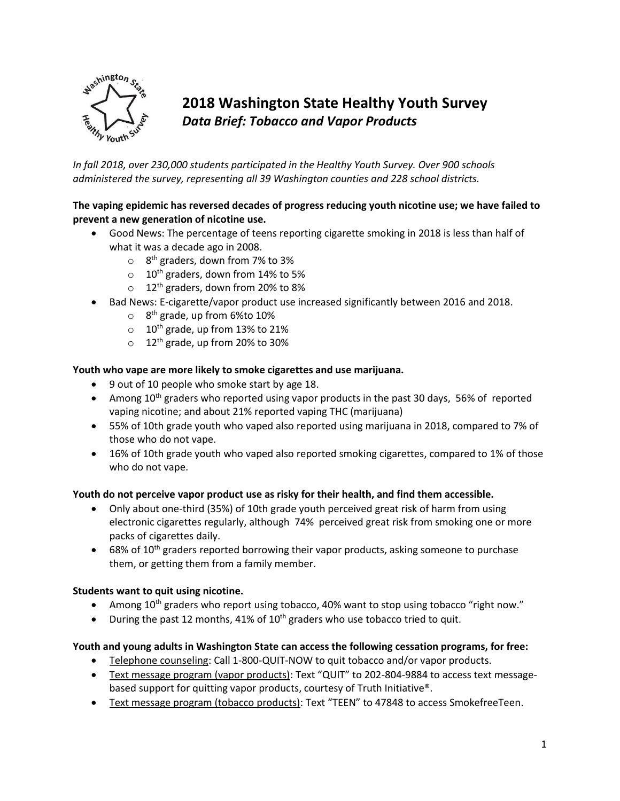

# **2018 Washington State Healthy Youth Survey**  *Data Brief: Tobacco and Vapor Products*

*In fall 2018, over 230,000 students participated in the Healthy Youth Survey. Over 900 schools administered the survey, representing all 39 Washington counties and 228 school districts.* 

# **The vaping epidemic has reversed decades of progress reducing youth nicotine use; we have failed to prevent a new generation of nicotine use.**

- Good News: The percentage of teens reporting cigarette smoking in 2018 is less than half of what it was a decade ago in 2008.
	- $\circ$  8<sup>th</sup> graders, down from 7% to 3%
	- $\circ$  10<sup>th</sup> graders, down from 14% to 5%
	- $\circ$  12<sup>th</sup> graders, down from 20% to 8%
- Bad News: E-cigarette/vapor product use increased significantly between 2016 and 2018.
	- $\circ$  8<sup>th</sup> grade, up from 6%to 10%
	- $\circ$  10<sup>th</sup> grade, up from 13% to 21%
	- $\circ$  12<sup>th</sup> grade, up from 20% to 30%

### **Youth who vape are more likely to smoke cigarettes and use marijuana.**

- 9 out of 10 people who smoke start by age 18.
- $\bullet$  Among 10<sup>th</sup> graders who reported using vapor products in the past 30 days, 56% of reported vaping nicotine; and about 21% reported vaping THC (marijuana)
- 55% of 10th grade youth who vaped also reported using marijuana in 2018, compared to 7% of those who do not vape.
- 16% of 10th grade youth who vaped also reported smoking cigarettes, compared to 1% of those who do not vape.

### **Youth do not perceive vapor product use as risky for their health, and find them accessible.**

- Only about one-third (35%) of 10th grade youth perceived great risk of harm from using electronic cigarettes regularly, although 74% perceived great risk from smoking one or more packs of cigarettes daily.
- $\bullet$  68% of 10<sup>th</sup> graders reported borrowing their vapor products, asking someone to purchase them, or getting them from a family member.

### **Students want to quit using nicotine.**

- Among 10<sup>th</sup> graders who report using tobacco, 40% want to stop using tobacco "right now."
- During the past 12 months, 41% of 10<sup>th</sup> graders who use tobacco tried to quit.

#### **Youth and young adults in Washington State can access the following cessation programs, for free:**

- Telephone counseling: Call 1-800-QUIT-NOW to quit tobacco and/or vapor products.
- Text message program (vapor products): Text "QUIT" to 202-804-9884 to access text messagebased support for quitting vapor products, courtesy of Truth Initiative®.
- Text message program (tobacco products): Text "TEEN" to 47848 to access SmokefreeTeen.